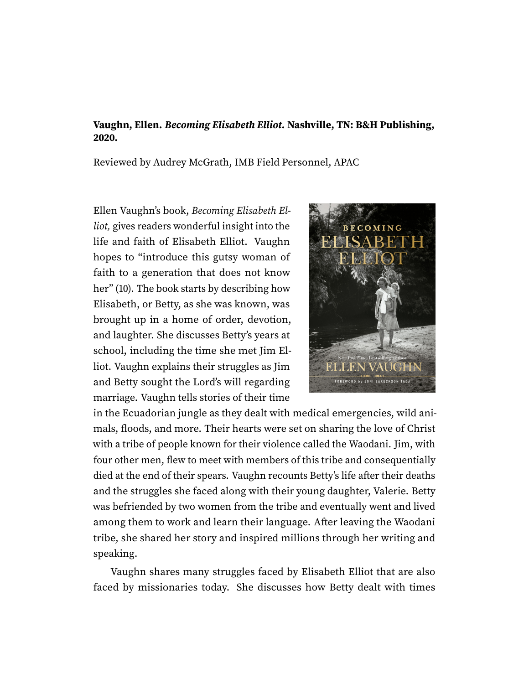## **Vaughn, Ellen. Becoming Elisabeth Elliot. Nashville, TN: B&H Publishing, 2020.**

Reviewed by Audrey McGrath, IMB Field Personnel, APAC

Ellen Vaughn's book, Becoming Elisabeth Elliot, gives readers wonderful insight into the life and faith of Elisabeth Elliot. Vaughn hopes to "introduce this gutsy woman of faith to a generation that does not know her" (10). The book starts by describing how Elisabeth, or Betty, as she was known, was brought up in a home of order, devotion, and laughter. She discusses Betty's years at school, including the time she met Jim Elliot. Vaughn explains their struggles as Jim and Betty sought the Lord's will regarding marriage. Vaughn tells stories of their time



in the Ecuadorian jungle as they dealt with medical emergencies, wild animals, floods, and more. Their hearts were set on sharing the love of Christ with a tribe of people known for their violence called the Waodani. Jim, with four other men, flew to meet with members of this tribe and consequentially died at the end of their spears. Vaughn recounts Betty's life after their deaths and the struggles she faced along with their young daughter, Valerie. Betty was befriended by two women from the tribe and eventually went and lived among them to work and learn their language. After leaving the Waodani tribe, she shared her story and inspired millions through her writing and speaking.

Vaughn shares many struggles faced by Elisabeth Elliot that are also faced by missionaries today. She discusses how Betty dealt with times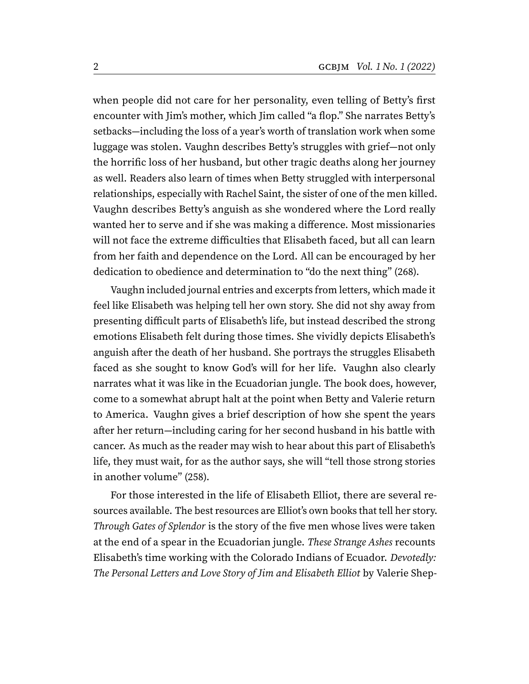when people did not care for her personality, even telling of Betty's first encounter with Jim's mother, which Jim called "a flop." She narrates Betty's setbacks—including the loss of a year's worth of translation work when some luggage was stolen. Vaughn describes Betty's struggles with grief—not only the horrific loss of her husband, but other tragic deaths along her journey as well. Readers also learn of times when Betty struggled with interpersonal relationships, especially with Rachel Saint, the sister of one of the men killed. Vaughn describes Betty's anguish as she wondered where the Lord really wanted her to serve and if she was making a difference. Most missionaries will not face the extreme difficulties that Elisabeth faced, but all can learn from her faith and dependence on the Lord. All can be encouraged by her dedication to obedience and determination to "do the next thing" (268).

Vaughn included journal entries and excerpts from letters, which made it feel like Elisabeth was helping tell her own story. She did not shy away from presenting difficult parts of Elisabeth's life, but instead described the strong emotions Elisabeth felt during those times. She vividly depicts Elisabeth's anguish after the death of her husband. She portrays the struggles Elisabeth faced as she sought to know God's will for her life. Vaughn also clearly narrates what it was like in the Ecuadorian jungle. The book does, however, come to a somewhat abrupt halt at the point when Betty and Valerie return to America. Vaughn gives a brief description of how she spent the years after her return—including caring for her second husband in his battle with cancer. As much as the reader may wish to hear about this part of Elisabeth's life, they must wait, for as the author says, she will "tell those strong stories in another volume" (258).

For those interested in the life of Elisabeth Elliot, there are several resources available. The best resources are Elliot's own books that tell her story. Through Gates of Splendor is the story of the five men whose lives were taken at the end of a spear in the Ecuadorian jungle. These Strange Ashes recounts Elisabeth's time working with the Colorado Indians of Ecuador. Devotedly: The Personal Letters and Love Story of Jim and Elisabeth Elliot by Valerie Shep-